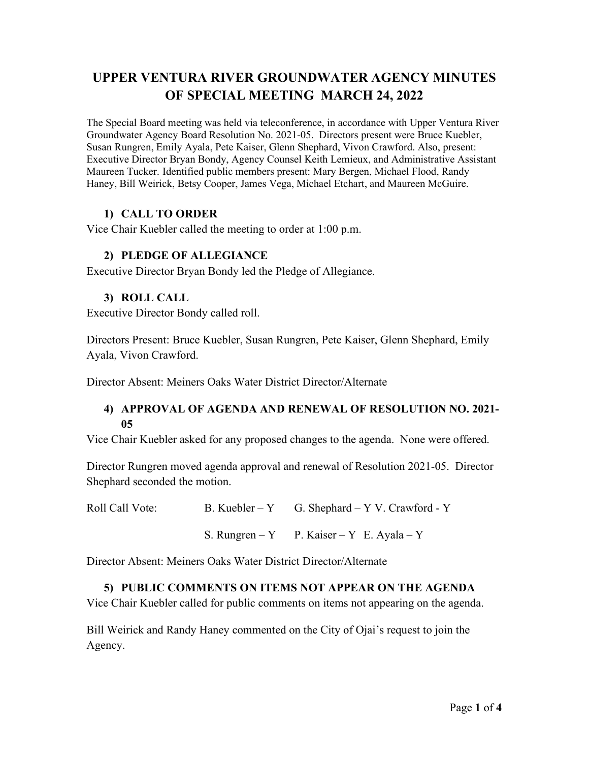# **UPPER VENTURA RIVER GROUNDWATER AGENCY MINUTES OF SPECIAL MEETING MARCH 24, 2022**

The Special Board meeting was held via teleconference, in accordance with Upper Ventura River Groundwater Agency Board Resolution No. 2021-05. Directors present were Bruce Kuebler, Susan Rungren, Emily Ayala, Pete Kaiser, Glenn Shephard, Vivon Crawford. Also, present: Executive Director Bryan Bondy, Agency Counsel Keith Lemieux, and Administrative Assistant Maureen Tucker. Identified public members present: Mary Bergen, Michael Flood, Randy Haney, Bill Weirick, Betsy Cooper, James Vega, Michael Etchart, and Maureen McGuire.

## **1) CALL TO ORDER**

Vice Chair Kuebler called the meeting to order at 1:00 p.m.

## **2) PLEDGE OF ALLEGIANCE**

Executive Director Bryan Bondy led the Pledge of Allegiance.

#### **3) ROLL CALL**

Executive Director Bondy called roll.

Directors Present: Bruce Kuebler, Susan Rungren, Pete Kaiser, Glenn Shephard, Emily Ayala, Vivon Crawford.

Director Absent: Meiners Oaks Water District Director/Alternate

#### **4) APPROVAL OF AGENDA AND RENEWAL OF RESOLUTION NO. 2021- 05**

Vice Chair Kuebler asked for any proposed changes to the agenda. None were offered.

Director Rungren moved agenda approval and renewal of Resolution 2021-05. Director Shephard seconded the motion.

Roll Call Vote: B. Kuebler – Y G. Shephard – Y V. Crawford - Y

S. Rungren – Y P. Kaiser – Y E. Ayala – Y

Director Absent: Meiners Oaks Water District Director/Alternate

#### **5) PUBLIC COMMENTS ON ITEMS NOT APPEAR ON THE AGENDA**

Vice Chair Kuebler called for public comments on items not appearing on the agenda.

Bill Weirick and Randy Haney commented on the City of Ojai's request to join the Agency.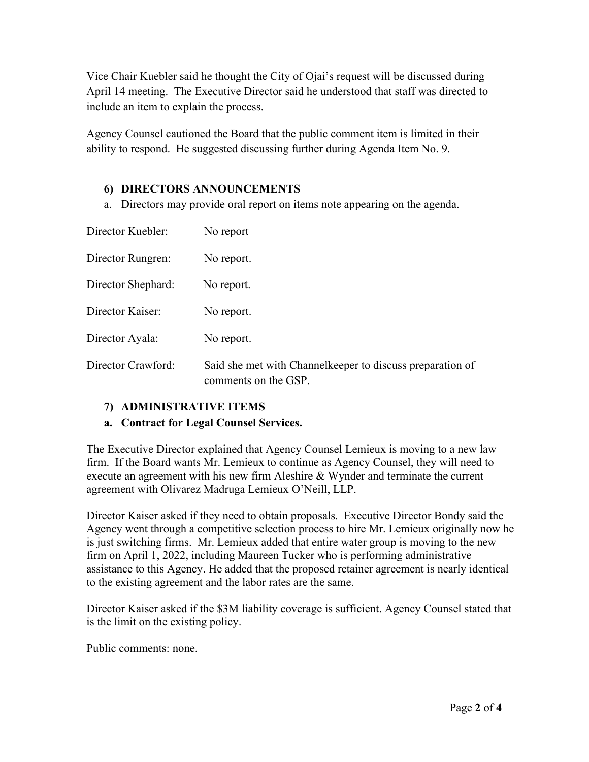Vice Chair Kuebler said he thought the City of Ojai's request will be discussed during April 14 meeting. The Executive Director said he understood that staff was directed to include an item to explain the process.

Agency Counsel cautioned the Board that the public comment item is limited in their ability to respond. He suggested discussing further during Agenda Item No. 9.

#### **6) DIRECTORS ANNOUNCEMENTS**

a. Directors may provide oral report on items note appearing on the agenda.

| Director Kuebler:  | No report                                                                         |
|--------------------|-----------------------------------------------------------------------------------|
| Director Rungren:  | No report.                                                                        |
| Director Shephard: | No report.                                                                        |
| Director Kaiser:   | No report.                                                                        |
| Director Ayala:    | No report.                                                                        |
| Director Crawford: | Said she met with Channelkeeper to discuss preparation of<br>comments on the GSP. |

#### **7) ADMINISTRATIVE ITEMS**

#### **a. Contract for Legal Counsel Services.**

The Executive Director explained that Agency Counsel Lemieux is moving to a new law firm. If the Board wants Mr. Lemieux to continue as Agency Counsel, they will need to execute an agreement with his new firm Aleshire & Wynder and terminate the current agreement with Olivarez Madruga Lemieux O'Neill, LLP.

Director Kaiser asked if they need to obtain proposals. Executive Director Bondy said the Agency went through a competitive selection process to hire Mr. Lemieux originally now he is just switching firms. Mr. Lemieux added that entire water group is moving to the new firm on April 1, 2022, including Maureen Tucker who is performing administrative assistance to this Agency. He added that the proposed retainer agreement is nearly identical to the existing agreement and the labor rates are the same.

Director Kaiser asked if the \$3M liability coverage is sufficient. Agency Counsel stated that is the limit on the existing policy.

Public comments: none.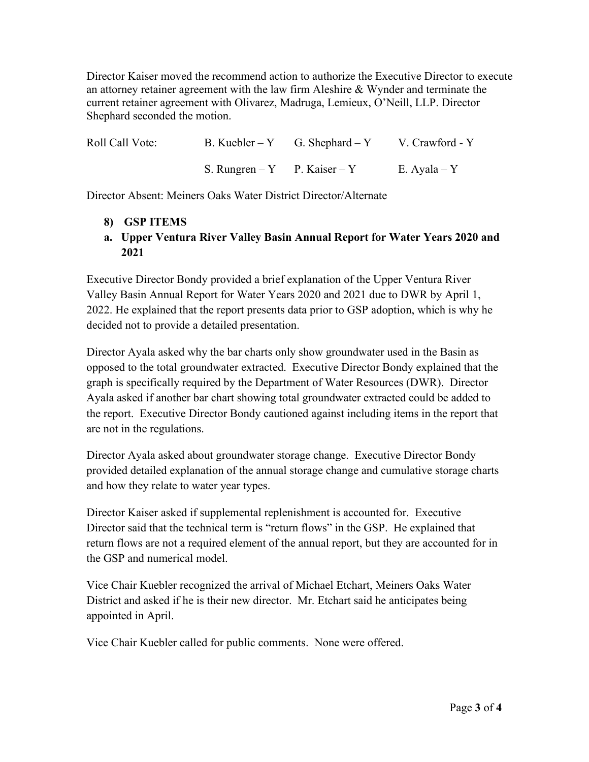Director Kaiser moved the recommend action to authorize the Executive Director to execute an attorney retainer agreement with the law firm Aleshire & Wynder and terminate the current retainer agreement with Olivarez, Madruga, Lemieux, O'Neill, LLP. Director Shephard seconded the motion.

| Roll Call Vote: |                              | B. Kuebler – Y G. Shephard – Y V. Crawford - Y |              |
|-----------------|------------------------------|------------------------------------------------|--------------|
|                 | S. Rungren – Y P. Kaiser – Y |                                                | E. Ayala – Y |

Director Absent: Meiners Oaks Water District Director/Alternate

- **8) GSP ITEMS**
- **a. Upper Ventura River Valley Basin Annual Report for Water Years 2020 and 2021**

Executive Director Bondy provided a brief explanation of the Upper Ventura River Valley Basin Annual Report for Water Years 2020 and 2021 due to DWR by April 1, 2022. He explained that the report presents data prior to GSP adoption, which is why he decided not to provide a detailed presentation.

Director Ayala asked why the bar charts only show groundwater used in the Basin as opposed to the total groundwater extracted. Executive Director Bondy explained that the graph is specifically required by the Department of Water Resources (DWR). Director Ayala asked if another bar chart showing total groundwater extracted could be added to the report. Executive Director Bondy cautioned against including items in the report that are not in the regulations.

Director Ayala asked about groundwater storage change. Executive Director Bondy provided detailed explanation of the annual storage change and cumulative storage charts and how they relate to water year types.

Director Kaiser asked if supplemental replenishment is accounted for. Executive Director said that the technical term is "return flows" in the GSP. He explained that return flows are not a required element of the annual report, but they are accounted for in the GSP and numerical model.

Vice Chair Kuebler recognized the arrival of Michael Etchart, Meiners Oaks Water District and asked if he is their new director. Mr. Etchart said he anticipates being appointed in April.

Vice Chair Kuebler called for public comments. None were offered.